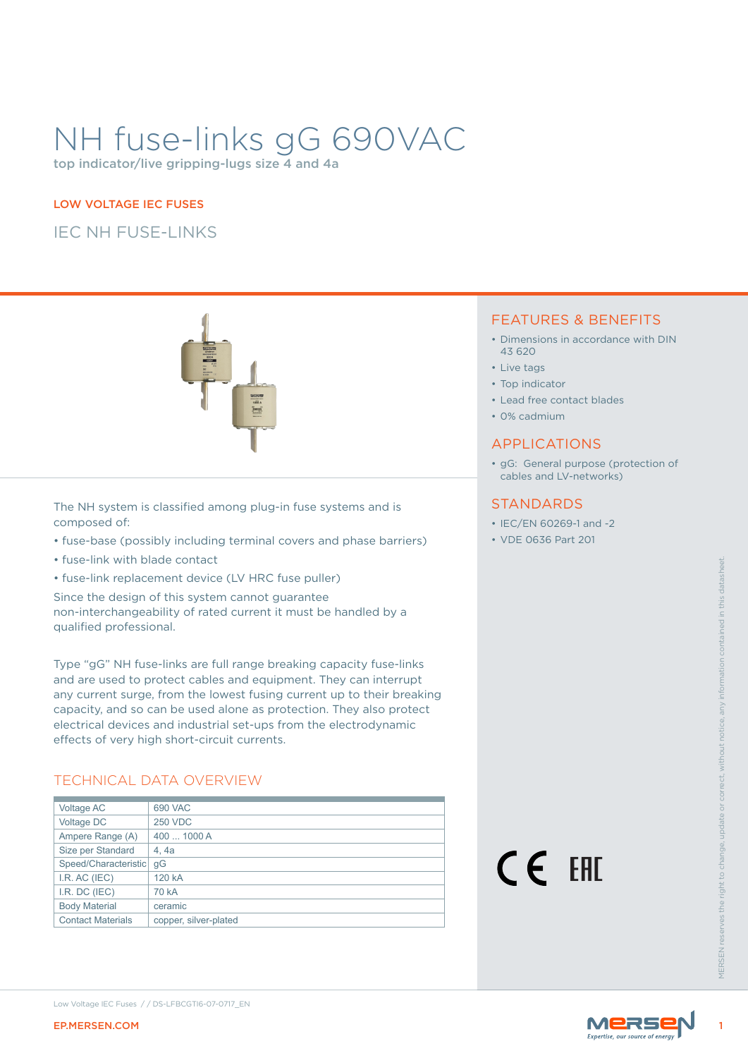# NH fuse-links gG 690VAC

top indicator/live gripping-lugs size 4 and 4a

### LOW VOLTAGE IEC FUSES

IEC NH FUSE-LINKS



The NH system is classified among plug-in fuse systems and is composed of:

- fuse-base (possibly including terminal covers and phase barriers)
- fuse-link with blade contact
- fuse-link replacement device (LV HRC fuse puller)

### TECHNICAL DATA OVERVIEW

|                                                                                                                                                        | Low Voltage IEC Fuses //DS-LFBCGTI6-07-0717_EN                                                                                                                                                                                                                                                                                                                |        |                    |
|--------------------------------------------------------------------------------------------------------------------------------------------------------|---------------------------------------------------------------------------------------------------------------------------------------------------------------------------------------------------------------------------------------------------------------------------------------------------------------------------------------------------------------|--------|--------------------|
| Ampere Range (A)<br>Size per Standard<br>Speed/Characteristic gG<br>I.R. AC (IEC)<br>I.R. DC (IEC)<br><b>Body Material</b><br><b>Contact Materials</b> | 400  1000 A<br>4, 4a<br>120 kA<br>70 kA<br>ceramic<br>copper, silver-plated                                                                                                                                                                                                                                                                                   | CE EHI | <b>VIFRSEN res</b> |
| Voltage AC<br>Voltage DC                                                                                                                               | effects of very high short-circuit currents.<br><b>TECHNICAL DATA OVERVIEW</b><br>690 VAC<br><b>250 VDC</b>                                                                                                                                                                                                                                                   |        |                    |
|                                                                                                                                                        | Type "gG" NH fuse-links are full range breaking capacity fuse-links<br>and are used to protect cables and equipment. They can interrupt<br>any current surge, from the lowest fusing current up to their breaking<br>capacity, and so can be used alone as protection. They also protect<br>electrical devices and industrial set-ups from the electrodynamic |        |                    |
| qualified professional.                                                                                                                                | • fuse-link replacement device (LV HRC fuse puller)<br>Since the design of this system cannot guarantee<br>non-interchangeability of rated current it must be handled by a                                                                                                                                                                                    |        |                    |
|                                                                                                                                                        |                                                                                                                                                                                                                                                                                                                                                               |        |                    |

### FEATURES & BENEFITS

- Dimensions in accordance with DIN 43 620
- Live tags
- Top indicator
- Lead free contact blades
- 0% cadmium

#### APPLICATIONS

• gG: General purpose (protection of cables and LV-networks)

### **STANDARDS**

- IEC/EN 60269-1 and -2
- VDE 0636 Part 201



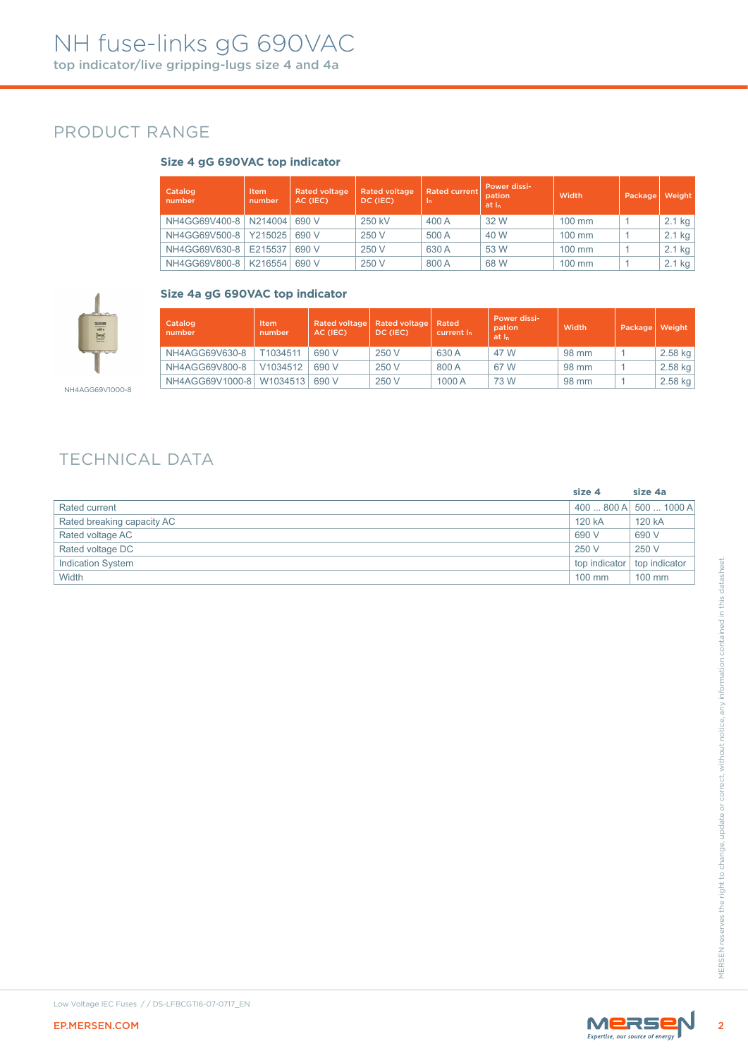### PRODUCT RANGE

#### **Size 4 gG 690VAC top indicator**

| Catalog<br>number | <b>Item</b><br>number | <b>Rated voltage</b><br>AC (IEC) | <b>Rated voltage</b><br>DC (IEC) | <b>Rated current</b><br>. In' | Power dissi-<br>pation<br>at I <sub>n</sub> | Width            | Package | Weight   |
|-------------------|-----------------------|----------------------------------|----------------------------------|-------------------------------|---------------------------------------------|------------------|---------|----------|
| NH4GG69V400-8     | N214004               | 690 V                            | 250 kV                           | 400 A                         | 32 W                                        | $100 \text{ mm}$ |         | $2.1$ kg |
| NH4GG69V500-8     | Y215025               | 690 V                            | 250 V                            | 500 A                         | 40 W                                        | $100 \text{ mm}$ |         | $2.1$ kg |
| NH4GG69V630-8     | E215537               | 690 V                            | 250 V                            | 630 A                         | 53 W                                        | $100$ mm         |         | $2.1$ kg |
| NH4GG69V800-8     | K216554               | 690 V                            | 250 V                            | 800 A                         | 68 W                                        | $100 \text{ mm}$ |         | $2.1$ kg |



#### **Size 4a gG 690VAC top indicator**

| Catalog<br>number | Item<br>number | Rated voltage<br>AC (IEC) | Rated voltage<br>DC (IEC) | Rated<br>current I <sub>n</sub> | <b>Power dissi-</b><br>pation<br>at I <sub>n</sub> | Width | Package | Weight  |
|-------------------|----------------|---------------------------|---------------------------|---------------------------------|----------------------------------------------------|-------|---------|---------|
| NH4AGG69V630-8    | T1034511       | 690 V                     | 250 V                     | 630 A                           | 47 W                                               | 98 mm |         | 2.58 kg |
| NH4AGG69V800-8    | V1034512       | 690 V                     | 250 V                     | 800 A                           | 67 W                                               | 98 mm |         | 2.58 kg |
| NH4AGG69V1000-8   | W1034513       | 690 V                     | 250 V                     | 1000 A                          | 73 W                                               | 98 mm |         | 2.58 kg |

# TECHNICAL DATA

| 400800A<br>120 kA<br>120 kA<br>690 V<br>690 V<br>250 V<br>250 V<br>top indicator<br>100 mm<br>100 mm<br>MERSEN |                                                | size 4 | size 4a       |
|----------------------------------------------------------------------------------------------------------------|------------------------------------------------|--------|---------------|
|                                                                                                                | Rated current                                  |        | 500  1000 A   |
|                                                                                                                | Rated breaking capacity AC                     |        |               |
|                                                                                                                | Rated voltage AC                               |        |               |
|                                                                                                                | Rated voltage DC                               |        |               |
|                                                                                                                | Indication System                              |        | top indicator |
|                                                                                                                | Width                                          |        |               |
|                                                                                                                |                                                |        |               |
|                                                                                                                | Low Voltage IEC Fuses //DS-LFBCGTI6-07-0717_EN |        |               |
|                                                                                                                | EP.MERSEN.COM                                  |        |               |



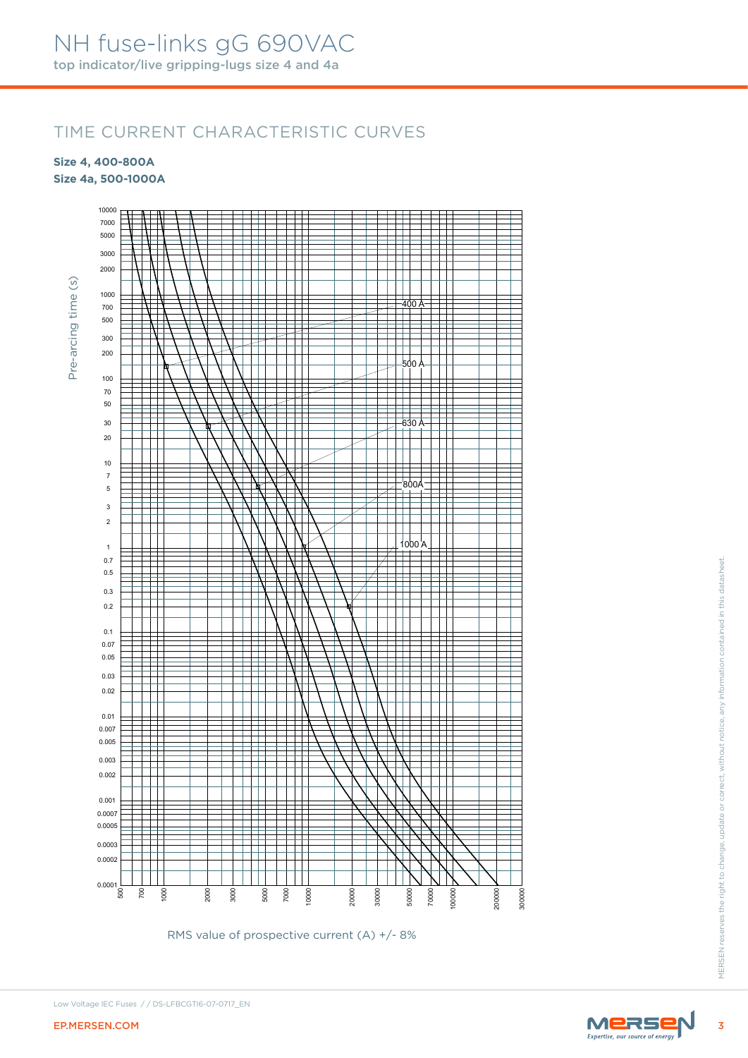### TIME CURRENT CHARACTERISTIC CURVES

**Size 4, 400-800A**

**Size 4a, 500-1000A**



RMS value of prospective current (A) +/- 8%

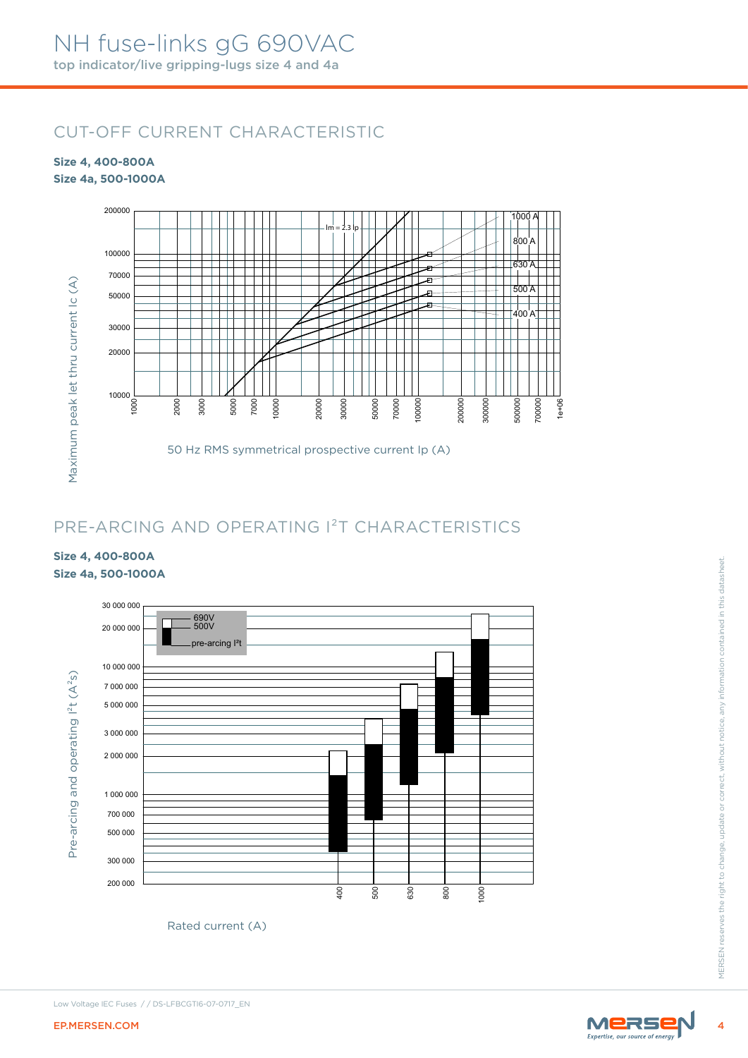# CUT-OFF CURRENT CHARACTERISTIC

#### **Size 4, 400-800A Size 4a, 500-1000A**



# PRE-ARCING AND OPERATING I²T CHARACTERISTICS

### **Size 4, 400-800A Size 4a, 500-1000A**



Rated current (A)

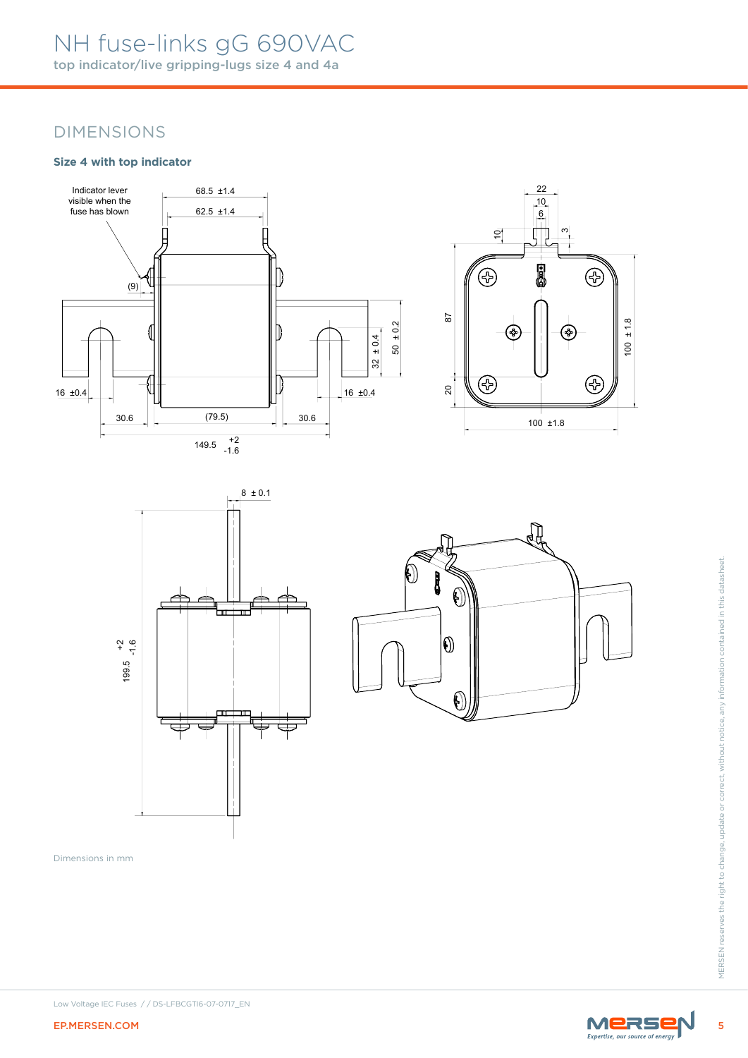## NH fuse-links gG 690VAC top indicator/live gripping-lugs size 4 and 4a

### DIMENSIONS

#### **Size 4 with top indicator**









Dimensions in mm